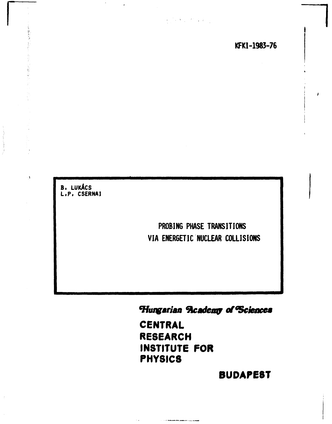$\label{eq:2} \mathcal{L}=\left\{ \mathcal{L}^{\mathcal{A}}_{\mathcal{A}}\left(\mathcal{L}^{\mathcal{A}}_{\mathcal{A}}\right) \right\} \left\{ \mathcal{L}^{\mathcal{A}}_{\mathcal{A}}\left(\mathcal{L}^{\mathcal{A}}_{\mathcal{A}}\right) \right\} ,$ 

B. LUKÁCS<br>L.P. CSERNAI

 $\mathcal{L}^{\pm}$ 

经重新

 $\Lambda$ 

PROBING PHASE TRANSITIONS VIA ENERGETIC NUCLEAR COLLISIONS

Hungarian Reademy of Sciences

**CENTRAL RESEARCH** INSTITUTE FOR **PHYSICS** 

 $\mathcal{L}^{\mathcal{L}}(\mathcal{L}^{\mathcal{L}})$  . The constraint in the first constant of  $\mathcal{L}^{\mathcal{L}}(\mathcal{L}^{\mathcal{L}})$  , the compact of  $\mathcal{L}^{\mathcal{L}}(\mathcal{L}^{\mathcal{L}})$ 

 $\mathcal{L}_{\text{eff}}$  ,  $\mathcal{L}_{\text{eff}}$ 

**BUDAPEST**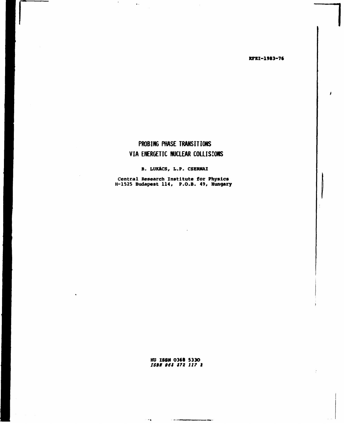**KFKI-1983-76** 

# PROBING PHASE TRANSITIONS VIA ENERGETIC NUCLEAR COLLISIONS

 $\mathcal{L}$ 

 $\sim$ 

 $\sim$   $\bullet$  .

B. LUKÁCS, L.P. CSERNAI

Central Research Institute for Physics<br>H-1525 Budapest 114, P.O.B. 49, Hungary

HU ISSN 0368 5330<br>*ISBN 963 372 117 2* 

المستعملين والمناد

 $\sim$   $\sigma$   $_{\rm N}$  .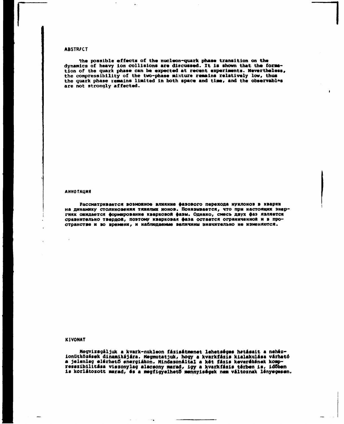## **ABSTR/CT**

**•Yhe possible effects of the nucleon-quark phase transition on the**  dynamics of heavy ion collisions are discussed. It is shown that the form tion of the quark phase can be expected at recent experiments. Nevertheless, the compressibility of the two-phase mixture remains relatively low, thus the quark phase remains limited in both space and time, and the observables **are not strongly affected.** 

#### **АННОТАЦИЯ**

Рассматривается возможное влияние фазового перехода нуклонов в кварки на динамику столкновения тяжелых ионов. Показывается, что при настоящих энергиях ожидается формирование кварковой фазы. Однако, смесь двух фаз является сравнительно твердой, поэтому кварковая фаза остается ограниченной и в пространстве и во времени, и наблюдаемые величины значительно не изменяются.

#### **KIVONAT**

**Megvizsgáljuk a kvark-nukleon fázisátmenet lehetséges hatásait a nehézionütközések dinamikájára. Megmutatjuk, hogy a kvarkfázis kialakulása várható**  a jelenleg elérhető energiákon. Mindazonáltal a két fázis keverékének komp**resszibilitása viszonylag alacsony marad, Így a kvarkfázis térben is, id6ben**  is korlátozott marad, és a megfigyelhető mennyiségek nem változnak lényegesen.

 $\sim$   $\sim$   $\alpha$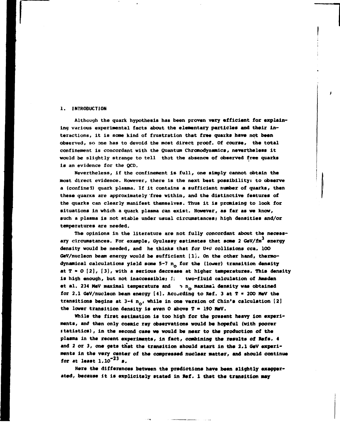#### **1. INTRODUCTION**

**Although the quark hypothesis has been proven very efficient for explain» lng various experimental facts about the elementary particles and their in**teractions, it is some kind of frustration that free quarks have not been **observed, so one has to devoid the most direct proof. Of course, the total confinement is concordant with the Quantum Chromodynamics, nevertheless it would be slightly strange to tell that the absence of observed free quarks is an evidence for the QCD.** 

**Nevertheless, if the confinement is full, one simply cannot obtain the most direct evidence. However, there is the next best possibility: to observe a (confinei) quark plasma. If it contains a sufficient number of quarks, then these quarxs are approximately free within, and the distinctive features of the quarks can clearly manifest themselves. Thus it is promising to look for situations in which a quark plasma can exist. However, as far as we know, such a plasma is not stable under usual circumstances; high densities and/or temperatures are needed.** 

**The opinions in the literature are not fully concordant about the necess**ary circumstances. For example, Gyulassy estimates that some 2 GeV/fm<sup>3</sup> energy **density would be needed, and he thinks that for U+u collisions cca. 10O**  GeV/nucleon beam energy would be sufficient [1]. On the other hand, thermodynamical calculations yield some 5-7 n<sub>o</sub> for the (lower) transition density **at T • О [2], [3], with a serious decrease at higher temperatures. This density is high enough, but not inaccessiblei** *1:* **two-fluid calculation of Amsden**  et al. 234 MeV maximal temperature and **by n<sub>o</sub> maximal density was obtained** for 2.1 GeV/nucleon beam energy [4]. According to Ref. 3 at  $T = 200$  MeV the transitions begins at 3-4 n<sub>o</sub>, while in one version of Chin's calculation [2] **the lower transition density is even 0 above T - 190 MeV.** 

**While the first estimation is too high for the present heavy Ion experiments, and then only cosmic ray observations would be hopeful (with poorer i tatistics), in the second case we would be near to the production of the plasma in the recent experiments, in fact, combining the results of Refs. 4**  and 2 or 3, one gets that the transition should start in the 2.1 GeV experi**ments in the very center of the compressed nuclear matter, and should continue for at least l.io"<sup>2</sup> <sup>3</sup>**  *m.* 

Here the differences between the predictions have been slightly exagger**ated, because it is explicitely stated in Kef. 1 that the transition may**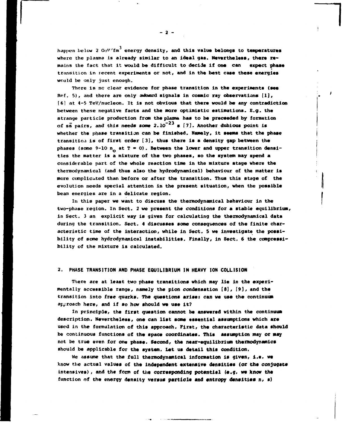happen below 2 GeV/fm<sup>3</sup> energy density, and this value belongs to temperatures **where the plasma is already similar to an ideal gas. Nevertheless, there remains the fact that it would be difficult to decide if one can expect phase transition in recent experiments or not, and in the best case these energies would be only just enough.** 

**There is nc clear evidence for phase transition in the experiments (see Ref. 5), and there are only awkward signals in cosmic ray observations [1], (61 at 4-5 TeV/nucleon. It is not obvious that there would be any contradiction between these negative facts and the more optimistic estimations. E.g. the strange particle production from the plaana has to be preceeded by formation**  of ss pairs, and this needs some  $2.10^{-23}$  s  $[7]$ . Another dubious point is **whether the phase transition can be finished. Namely, it seems that the phase transition is of first order [3], thus there is a density gap between the**  phases (some 9-10  $n_{\alpha}$  at  $T = 0$ ). Between the lower and upper transition densi**ties the matter is a mixture of the two phases, so the system may spend a considerable part of the whole reaction time in the mixture stage where the thermodynamical (and thus also the hydrodynamical) behaviour of the matter Is more complicated than before or after the transition. Thus this stage of the evolution needs special attention in the present situation, when the possible beam energies are in a delicate region.** 

**In this paper we want to discuss the thermodynamical behaviour in the two-phase region. In Sect. 2 we present the conditions for a stable equilibrium in Sect. 3 an explicit way is given for calculating the thermodynamical data during the transition. Sect. 4 discusses some consequences of the finite characteristic time of the interaction, while in Sect. 5 we investigate the possibility of some hydrodynamical instabilities. Finally, in Sect. 6 the compressibility of the mixture is calculated.** 

## **2. PHASE TRANSITION AND PHASE EQUILIBRIUM IN HEAVY ION COLLISION**

There are at least two phase transitions which may lie in the experi**mentally accessible range, namely the plon condensation [8], [9], and the transition into free quarks. The questions arlset can we use the continuum approach here, and if so how should we use it?** 

**In principle, the first question cannot be answered within the continuum description. Nevertheless, one can list some essential assumptions which are used in the formulation of this approach. First, the characteristic data should be continuous functions of the space coordinates. This assumption may or may**  not be true even for one phase. Second, the near-equilibrium thermodynamics **should be applicable for the system. Let us detail this condition.** 

**We assume that the full thermodynamical information is given, I.e. we know the actual values of the independent extensive densities (or the conjugate intensives), and the form of the corresponding potential (e.g. we know the function of the energy density versus particle and entropy densities n, s)** 

**- 2 -**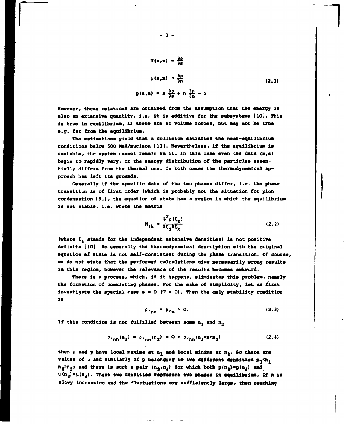$$
T(s,n) = \frac{\partial \rho}{\partial s}
$$
  

$$
\mu(s,n) = \frac{\partial \rho}{\partial n}
$$
  

$$
p(s,n) = s \frac{\partial \rho}{\partial s} + n \frac{\partial \rho}{\partial n} - \rho
$$
 (2.1)

**However, these relations are obtained from the assumption that the energy is**  also an extensive quantity, i.e. it is additive for the subsystems [10]. This **is true in equilibrium, if there are no volume forces, but may not be true e.g. far from the equilibrium.** 

**The estimations yield that a collision satisfies the near-equilibrium conditions below 500 MeV/nucleon [11]. Nevertheless, if the equilibrium is unstable, the system cannot remain in it. In this case even the data (n,e) begin to rapidly vary, or the energy distribution of the particles essentially differs from the thermal one. In both cases the thermodynamical approach has left its grounds.** 

**Generally if the specific data of the two phases differ, i.e. the phase transition is of first order (which is probably not the situation for pion condensation [9]), the equation.of state has a region in which the equilibrium is not stable, i.e. where the matrix** 

$$
M_{ik} = \frac{\partial^2 \rho(\xi_i)}{\partial \xi_i \partial \xi_k}
$$
 (2.2)

(where  $\xi_A$  stands for the independent extensive densities) is not positive **definite [10]. So generally the thermodynamical description with the original equation of state is not self-consistent during the phase transition. Of course, we do not state that the performed calculations give necessarily wrong results in this region, however the relevance of the results becomes awkward.** 

**There is a process, which, if it happens, eliminates this problem, namely the formation of coexisting phases. For the sake of simplicity, let us first**  investigate the special case  $s = 0$  ( $T = 0$ ). Then the only stability condition **is** 

$$
\rho_{r_{\rm nn}} = \mu_{r_{\rm n}} > 0. \tag{2.3}
$$

If this condition is not fulfilled between some  $n_1$  and  $n_2$ 

$$
\rho_{r_{nn}}(n_1) = \rho_{r_{nn}}(n_2) = 0 > \rho_{r_{nn}}(n_1 < n < n_2)
$$
 (2.4)

then  $\mu$  and p have local maxima at  $n_1$  and local minima at  $n_2$ . So there are **values** of  $\mu$  and similarly of p belonging to two different densities  $n_2 < n_1$  $n_4$   $>$   $n_2$  **;** and there is such a pair  $(n_3, n_4)$  for which both  $p(n_3) = p(n_4)$  and **u(n<sup>3</sup> )\*p(n<sup>4</sup> ). These two densities represent two phases in equilibrium. Zf n is slowy increasing and the fluctuations are sufficiently large, then reaching**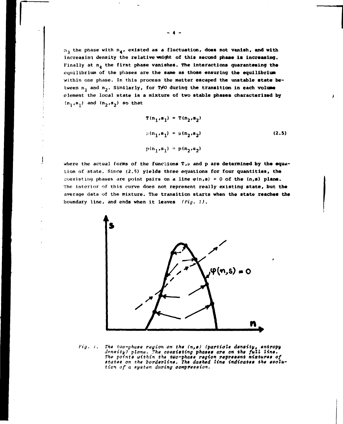$n_1$  the phase with  $n_4$ , existed as a fluctuation, does not vanish, and with increasing density the relative weight of this second phase is increasing. Finally at n<sub>a</sub> the first phase vanishes. The interactions quaranteeing the equilibrium of the phases are **the same as those ensuring the equilibrium**  within one phase. In this process the matter **escaped the unstable state** between n<sub>1</sub> and n<sub>2</sub>. Similarly, for T#O during the transition in each volume element the local state is **a** mixture **of two stable phases characterized by**   $(n_1, s_1)$  and  $(n_2, s_2)$  so that

$$
T(n_1, s_1) = T(n_2, s_2)
$$
  
\n
$$
\mu(n_1, s_1) = \mu(n_2, s_2)
$$
  
\n
$$
p(n_1, s_1) = p(n_2, s_2)
$$
 (2.5)

where the actual forms of the functions  $T, \mu$  and p are determined by the equation of state. Since (2.5) yields three equations for four quantities, the coexisting phases are point pairs on a line  $\varphi(n,s) = 0$  of the  $(n,s)$  plane. The interior of this curve does not represent really **existing state, but the**  average data of the mixture. The transition starts **when the state reaches the**  boundary line, and ends when it leaves *(Fig. 1).* 



*Fig. i. The tuo-phaee region on the (n,\$) (particle dimity, entropy annuity) plane. The coexisting phaeee are on the full line. The points uithin the tuo-phaee region represent mixtures of etatee on the borderline. The dashed line indioates the evolution of a eye tern during oompreeaion.* 

- 4 -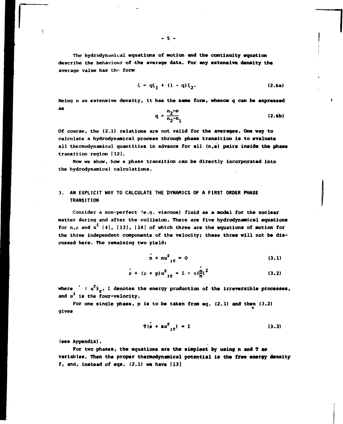**The hydrodynamieal equations of motion and the continuity aquation describe the behaviour of -the average data. For any extensive density the average value has the form** 

$$
\xi = q\xi_1 + (1 - q)\xi_2.
$$
 (2.6a)

**Being n an extensive density, it has the same form, whence q can be expressed <sup>a</sup> <sup>s</sup> n,-n** 

$$
q = \frac{n_2 - n_1}{n_2 - n_1}
$$
 (2.6b)

**Of course, the (2.1) relations are not valid for the averages. One way to calculate a hydrodynamical process through phase transition is to evaluate all thermodynamical quantities in advance for all (n,s) pairs inside the phase transition region [12].** 

**Now we show, how a phase transition can be directly incorporated into the hydrodynamical calculations.** 

# **3. AN EXPLICIT WAY TO CALCULATE THE DYNAMICS OF A FIRST ORDER PHASE TRANSITION**

**Consider a non-perfect 'e.g. viscous) fluid as a model for the nuclear matter during and after the collision. There are five hydrodynamical equations**  for  $n, \rho$  and  $u^1$  [4], [13], [14] of which three are the equations of motion for **the three independent components of the velocity; these three will not be discussed here. The remaining two yieldt** 

$$
\dot{n} + nu^T_{\dot{r}} = 0 \tag{3.1}
$$

$$
\rho + (\rho + p) u^T_{1T} = \Sigma = n \left(\frac{n}{n}\right)^2 \tag{3.2}
$$

where  $\mathbf{r} = \mathbf{u}^T \mathbf{a}_{\mathbf{v}}$ ,  $\mathbf{r}$  denotes the energy production of the irreversible processes, and u<sup>i</sup> is the four-velocity.

**For one single phase, p is to be taken from eq. (2.1) and then (3.2) gives** 

 $T(s + su^2_{r} = \sum$  (3.3)

**(see Appendix).** 

For two phases, the equations are the simplest by using n and T as **variables. Then the proper thermodynsmical potential is the free energy density f, and, instead of eqs. (2.1) we have [13]**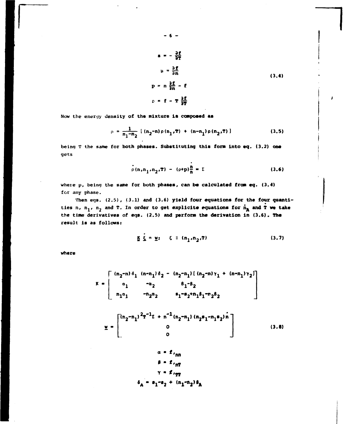$$
B = -\frac{\partial f}{\partial T}
$$
  
\n
$$
\mu = \frac{\partial f}{\partial n}
$$
  
\n
$$
p = n\frac{\partial f}{\partial n} - f
$$
  
\n
$$
\rho = f - T\frac{\partial f}{\partial n}
$$
  
\n(3.4)

Now the energy density of the mixture is composed as

$$
\rho = \frac{1}{n_1 - n_2} \left\{ (n_2 - n) \rho(n_1, T) + (n - n_1) \rho(n_2, T) \right\} \tag{3.5}
$$

being T the same for both phases. Substituting this form into eq. (3.2) one gets

$$
\rho(n_1, n_1, n_2, T) - (\rho + p) \frac{n}{n} = \Sigma
$$
 (3.6)

where p, being the same for both phases, can be calculated from eq. (3.4) for any phase.

Then eqs.  $(2.5)$ ,  $(3.1)$  and  $(3.6)$  yield four equations for the four quantities n,  $n_1$ ,  $n_2$  and T. In order to get explicite equations for  $n_A$  and T we take the time derivatives of eqs. (2.5) and perform the derivation in (3.6). The result is as follows:

$$
\underline{\kappa} \underline{\xi} = \underline{\kappa}; \quad \xi \equiv (n_1, n_2, T) \tag{3.7}
$$

where

$$
K = \begin{bmatrix} (n_2-n) \delta_1 & (n-n_1) \delta_2 - (n_2-n_1) [ (n_2-n) \gamma_1 + (n-n_1) \gamma_2 ] \\ a_1 & -a_2 & \delta_1 - \delta_2 \\ n_1 a_1 & -n_2 a_2 & s_1 - s_2 + n_1 \beta_1 - n_2 \beta_2 \end{bmatrix}
$$
  

$$
\underline{v} = \begin{bmatrix} (n_2-n_1)^2 T^{-1} L + n^{-1} (n_2-n_1) (n_2 s_1 - n_1 s_2) n \\ 0 & 0 \\ 0 & 0 \end{bmatrix}
$$
 (3.8)

$$
\beta = f_{nT}
$$
  

$$
\gamma = f_{nT}
$$
  

$$
\delta_A = s_1 - s_2 + (n_1 - n_2) \delta_A
$$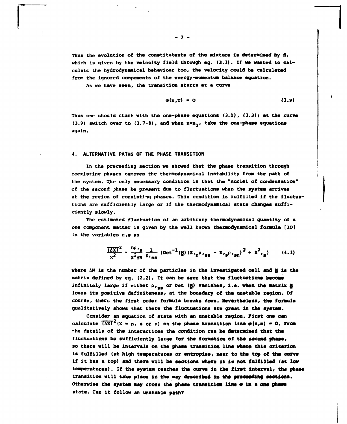**Thus the evolution of the conetitutente of the mixture la determined by A, which is given by the velocity field through eq. (3.1). If we wanted to calculate the hydrodynamical behaviour too, the velocity could be calculated from the ignored components of the energy-momentum balance equation.** 

**As we have seen, the transition starts at a curve** 

$$
\varphi(n,T) = 0 \tag{3.9}
$$

**Thus one should start with the one-phase equations (3.1), (3.3); at the curve (3.9) switch over to (3.7-8), and when n~n2» take the one-phase equations again.** 

#### **4. ALTERNATIVE PATHS OF THE PHASE TRANSITION**

**In the proceeding section we showed that the phase transition through coexisting phases removes the thermodynamlcal instability from the path of the system. The only necessary condition is that the "nuclei of condensation" of the second phase be present due to fluctuations when the system arrives at the region of coexisting phases. This condition is fulfilled if the fluctuations are sufficiently large or if the thermodynamical state changes sufficiently slowly.** 

**The estimated fluctuation of an arbitrary thermcdynamJcal quantity of a one component matter is given by the well known thermodynamical formula [10] in the variables n,s as** 

$$
\frac{7\Delta x T^2}{x^2} = \frac{R\rho_{\text{sg}}}{x^2\Delta x} \frac{1}{\rho_{\text{sg}}}\left(\text{Det}^{-1}(\underline{y})\left(x_{\eta}\rho_{\text{sg}} - x_{\text{sg}}\rho_{\text{sg}}\right)^2 + x^2_{\text{sg}}\right) \qquad (4.1)
$$

where ΔN is the number of the particles in the investigated cell and **H** is the **matrix defined by eq. (2.2). It can be seen that the fluctuations become**  infinitely large if either  $ρ$ , *eg* or Det (**M**<sub>2</sub>) vanishes, i.e. when the matrix **M**<sub>2</sub> **loses its positive deflniteness, at the boundary of the unstable region. Of course, there the first order formula breaks down. Nevertheless, the formula qualitatively shows that there the fluctuations are great in the system.** 

**Consider an equation of state with an unstable region. First one can**  calculate  $\overline{(\Delta X)}^2$  (X = n, s or  $\rho$ ) on the phase transition line  $\varphi(s,n) = 0$ . From **the details of the interactions the condition can be determined that the fluctuations be sufficiently large for the formation of the second phase, so there will be Intervals on the phase transition lino where this criterion is fulfilled (at high temperatures or entropies, near to the top of the curve if it has a top) and there will be sections where it is not fulfilled (et low temperatures). If the system reaches the curve in the first interval» the phase transition will take place In the way described in the preceedlng sections. Otherwise the system may cross the phase transition line • in a one phese state. Can it follow an unstable path?** 

 $-7 -$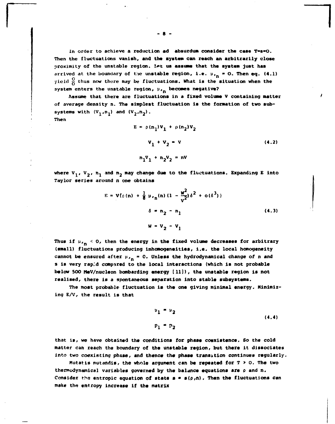In order to achieve a reduction ad absurdum consider the case T=s=0. **Then the fluctuations vanish, and the system can reach an arbitrarily close proximity of the unstable region. L»t us assume that the system just has**  arrived at the boundary of the unstable region, i.e.  $\mu_{r_n} = 0$ . Then eq. (4.1) yield  $\frac{0}{0}$  thus now there may be fluctuations. What is the situation when the system enters the unstable region,  $\mu_{\mathbf{r}_n}$  becomes negative?

**Assume that there are fluctuations in a fixed volume V containing matter of average density n. The simplest fluctuation is the formation of two sub**systems with  $(V_1, n_1)$  and  $(V_2, n_2)$ . **Then** 

$$
E = \rho(n_1)V_1 + \rho(n_2)V_2
$$
  

$$
V_1 + V_2 = V
$$
 (4.2)  

$$
n_1V_1 + n_2V_2 = nV
$$

where  $V_1$ ,  $V_2$ ,  $n_1$  and  $n_2$  may change due to the fluctuations. Expanding E into **Taylor series around n one obtains** 

$$
E = V(c(n) + \frac{1}{8} \mu_{r_n}(n) (1 - \frac{w^2}{v^2}) \delta^2 + o(\delta^3))
$$
  

$$
\delta = n_2 - n_1
$$
 (4.3)  

$$
W = V_2 - V_1
$$

Thus if  $\mu_{\mathbf{r}_n}$  < 0, then the energy in the fixed volume decreases for arbitrary **(small) fluctuations producing inhomogeneities, i.e. the local homogeneity cannot be ensured after** *\\,* **» 0. Unless the hydrodynamical change of n and s is very rap.'.d compared to the local interactions (which is not probable below 500 MeV/nucleon bombarding energy [11]), the unstable region is not realised, there is a spontaneous separation into stable subsystems.** 

**The most probable fluctuation is the one giving minimal energy. Minimizing E/V, the result is that** 

$$
\begin{aligned}\n u_1 &= u_2 \\
p_1 &= p_2\n \end{aligned}\n \tag{4.4}
$$

**that is, we have obtained the conditions for phase coexistence. So the cold matter can reach the boundary of the unstable region, but there it dissociates into two coexisting phase, and thence the phase transition continues regularly.** 

**Mutatis mutandis, the whole argument can be repeated for T > o. The two**  thermodynamical variables governed by the balance equations are p and n. Consider the entropic equation of state  $s = s(\rho,n)$ . Then the fluctuations can **make the entropy increase if the matrix**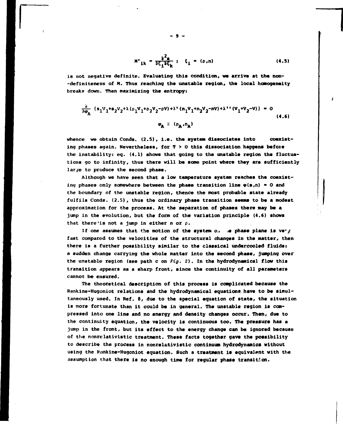$$
M^*_{ik} = \frac{\partial^2 s}{\partial \xi_i \partial \xi_k} ; \quad \xi_i = (\rho, n)
$$
 (4.5)

**is not negative definite. Evaluating this condition, we arrive at the non- -definiteness of M. Thus reaching the unstable region, the local homogeneity breaks down. Then maximizing the entropy:** 

$$
\frac{\partial}{\partial \varphi_{A}} \left\{ s_{1}V_{1} + s_{2}V_{2} + \lambda (\varphi_{1}V_{1} + \varphi_{2}V_{2} - \varphi V) + \lambda^{*} (n_{1}V_{1} + n_{2}V_{2} - \varphi V) + \lambda^{**} (V_{1} + V_{2} - V) \right\} = 0
$$
\n(4.6)

whence we obtain Conds. (2.5), i.e. the system dissociates into coexist**ing phases again. Nevertheless, for T > О this dissociation happens before the instability: eg. (4.1) shows that going to the unstable region the fluctuations go to infinity, thus there will be some point where they are sufficiently larje to produce the second phase.** 

**Although we have seen that a low temperature system reaches the coexist**ing phases only somewhere between the phase transition line  $\varphi(s,n) = 0$  and **the boundary of the unstable region, thence the most probable state already fulfils Conds. (2.5), thus the ordinary phase transition seems to be a modest approximation for the process. At the separation of phases there may be a jump in the evolution, but the form of the variation principle (4.6) shows that there'is not a jump in either n or p.** 

If one assumes that the motion of the system o.. **see phase plane is ve**y **fast compared to the velocities of the structural changes in the matter, then there is a further possibility similar to the classical undercooled fluids: a sudden change carrying the whole matter into the second phase, jumping over the unstable region (see path с on** *Fig. 2).* **In the hydrodynamical flow this transition appears as a sharp front, since the continuity of all parameters cannot be ensured.** 

**The theoretical description of this process is complicated because the**  Rankine-Hugoniot relations and the hydrodynamical equations have to be simul**taneously uned. In Ref. 8, due to the special equation of state, the situation is more fortunate than it could be in general. The unstable region is compressed into one line and no energy and density changes occur. Then, due to the continuity equation, the velocity is continuous too. The pressure has a jump in the front, but its effect to the energy change can be ignored because of the nonrelativistic treatment. These facts together gave the possibility to describe the process in nonrelativistic continuum hydrodynamics without**  using the Rankine-Hugoniot equation. Such a treatment is equivalent with the **assumption that there is no enough time for regular phase transition.** 

**!**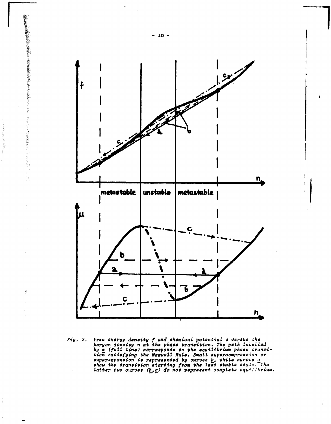

Free energy denetty f and chemical potential y versus the<br>baryon density n at the phase transition. The peth labelled<br>by a (full line) corresponds to the equilibrium phase transi-<br>tion satisfying the Maswell Rule. Small s  $Fig. 2.$ 

 $\frac{1}{4}$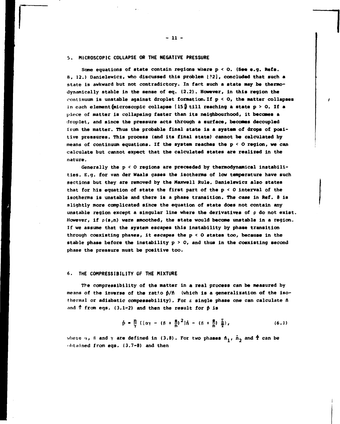#### **5. MICROSCOPIC COLLAPSE OR THE NE6ATIVE PRESSURE**

**Some equations of state contain regions where p < O. (See e.g. Refs. 8, 12.) Danielewicz, who discussed this problem l?.2l, concluded that such a**  state is awkward but not contradictory. In fact such a state may be thermo**dynamically stable in the sense of eq. (2.2). However, in this region the continuum is unstable against droplet formation.If p < 0, the matter collapses in each element (microscopic collapse [15 ]) till reaching a state p > O. If a piece of matter is collapsing faster than its neighbourhood, it becomes a droplet, and since the pressure acts through a surface, becomes decoupled from the matter. Thus the probable final state is a system of drops of positive pressures. This process (and its final state) cannot be calculated by means of continuum equations. If the system reaches the p < О region, we can calculate but cannot expect that the calculated states are realized in the nature.** 

Generally the p < 0 regions are preceeded by thermodynamical instabili**ties. E.g. for van der Waals gases the isotherms of low temperature have such sections but they are removed by the Maxwell Rule. Danielewicz also states that for his equation of state the first part of the p < 0 interval of the isotherms is unstable and there is a phase transition. The case in Ref. 8 is slightly more complicated since the equation of state does not contain any unstable region except a singular line where the derivatives of p do not exist. However, if p(s,n) were smoothed, the state would become unstable in a region. If we assume that the system escapes this instability by phase transition through coexisting phases, it escapes the p < О states too, because in the stable phase before the instability p > 0, and thus in the coexisting second phase the pressure must be positive too.** 

## **6. THE COMPRESSIBILITY OF THE MIXTURE**

**The compressibility of the matter in a real process can be measured by means of the inverse of the ratio p/ft (which is a generalization of the isothermal or adiabatic compessebility), For s single phase one can calculate n and f from eqs. (3.1-2) and then the result for p is** 

$$
\tilde{p} = \frac{n}{\gamma} \left( \left[ \alpha \gamma - \left( \beta + \frac{g}{n} \right)^2 \right] \tilde{n} - \left( \beta + \frac{g}{n} \right) \frac{\Sigma}{T} \right), \tag{6.1}
$$

where  $\alpha$ ,  $\beta$  and  $\gamma$  are defined in (3.8). For two phases  $n_1$ ,  $n_2$  and  $\dot{T}$  can be **obtained from eqs. (3.7-8) and then**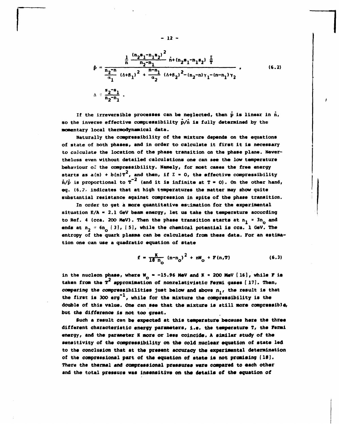$$
\dot{p} = \frac{\frac{1}{n} \frac{(n_2 s_1 - n_1 s_2)^2}{n_2 - n_1} \hat{n} + (n_2 s_1 - n_1 s_2) \frac{\hat{r}}{T}}{\frac{n_2 - n_1}{n_1} (\Delta + \beta_1)^2 + \frac{n - n_1}{\alpha_2} (\Delta + \beta_2)^2 - (n_2 - n)\gamma_1 - (n - n_1)\gamma_2},
$$
\n
$$
\Delta = \frac{s_2 - s_1}{n_2 - n_1}.
$$
\n(6.2)

If the irreversible processes can be neglected, then p is linear in n. so the inverse effective compressibility  $\vec{p}/\vec{n}$  is fully determined by the **momentary local thermodynamical data.** 

**Naturally the compressibility of the mixture depends on the equations of state of both phases, and in order to calculate it first it is necessary to calculate the location of the phase transition on the phase plane. Nevertheless even without detailed calculations one can see the low temperature**  behaviour of the compressibility. Namely, for most cases the free energy starts as  $a(n) + b(n)T^2$ , and then, if  $\Sigma = 0$ , the effective compressibility  $\dot{n}/\dot{p}$  is proportional to  $T^{-2}$  (and it is infinite at  $T = 0$ ). On the other hand, **eq. (6.7, indicates that at high temperatures the matter may show quite substantial resistance against compression in spite of the phase transition.** 

**In order to get á more quantitative estimation for the experimental situation E/A » 2.1 GeV beam energy, let us take the temperature according**  to Ref. 4 (cca. 200 MeV). Then the phase transition starts at  $n_1 \approx 3n_2$  and ends at  $n_2 = 6n_2$  [3], [5], while the chemical potential is cca. 1 GeV. The **entropy of the quark plasma can be calculated from these data. For an estimation one can use a quadratic equation of state** 

$$
f = \frac{K}{18 n_0} (n - n_0)^2 + nW_0 + F(n, T)
$$
 (6.3)

in the nucleon phase, where  $W_0 = -15.96$  MeV and K  $\approx$  200 MeV (16), while F is taken from the  $T^2$  approximation of nonrelativistic Fermi gases [17]. Then, comparing the compressibilities just below and above n<sub>1</sub>, the result is that the first is 300 erg<sup>-1</sup>, while for the mixture the compressibility is the **double of this value. One can see that the mixture is still more compressible, but the difference Is not too great.** 

**Such a result can be expected at this temperature because here the three different characteristic energy parameters, i.e. the temperature T, the Fermi energy, and the parameter К more or less coincide. A similar study of the sensitivity of the compressibility on the cold nuclear equation of state led to the conclusion that at the present accuracy the experimental determination of the compressions1 part of the equation of state 1\* not promising (IS]. There the thermal and compressional pressures were compared to each other and the total pressure was insensitive on the details of the equation of** 

**- 12 -**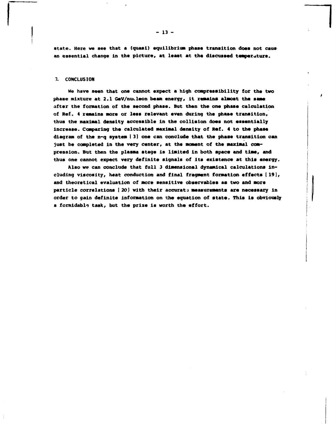**State. Here we see that a (quasi) equilibrium phase transition doss not caus an essential change in the picture, at least at the discussed temperature.** 

### **7. CONCLUSION**

**We have seen that one cannot expect a high compressibility for the two phase mixture at 2.1 GeV/nucleon beam energy, it remains almost the same after the formation of the second phase. But then the one phase calculation of Ref. 4 remains more or less relevant even during the phase transition, thus the maximal density accessible in the collision does not essentially increase. Comparing the calculated maximal density of Ref. 4 to the phase diagram of the n-q system [ 3] one can conclude that the phase transition can just be completed in the very center, at the moment of the maximal compression. But then the plasma stage is limited in both space and time, and thus one cannot expect very definite signals of its existence at this energy.** 

**Also we can conclude that full 3 dimensional dynamical calculations including viscosity, heat conduction and final fragment formation effects [ 19], and theoretical evaluation of more sensitive observables as two and more particle correlations [ 20} with their accurate measurements are necessary in order to gain definite information on the equation of state. This is obviously a formidable task, but the prize is worth the effort.**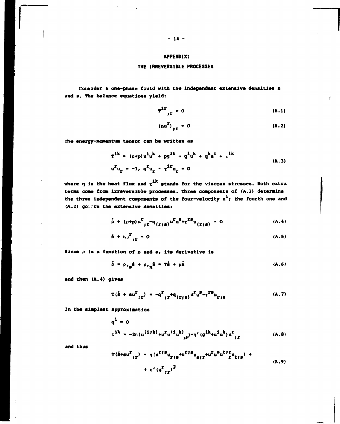## **APPENDIX:**

### **THE IRREVERSIBLE PROCESSES**

**Consider a one-phase fluid with the independent extensive densities л and s. The balance equations yield:** 

$$
T^{\text{ir}}{}_{\text{ir}} = 0 \tag{A.1}
$$

$$
(\mathbf{nu}^{\mathbf{r}})_{\mathbf{r}^{\mathbf{r}}} = 0 \tag{A.2}
$$

The energy-momentum tensor can be written as

$$
T^{ik} = (\rho + p)u^{i}u^{k} + pg^{ik} + q^{i}u^{k} + q^{k}u^{i} + t^{ik}
$$
  
\n
$$
u^{i}u_{r} = -1, q^{i}u_{r} = t^{i}u_{r} = 0
$$
\n(A.3)

where  $\dot{q}$  is the heat flux and  $\tau^{ik}$  stands for the viscous stresses. Both extra terms come from irreversible processes. Three components of (A.1) determine the three independent components of the four-velocity  $u^1$ ; the fourth one and **(A.2) gov-rn the extensive densities:** 

$$
\dot{\rho} + (\rho + p) u^T_{f^T} - q_{(f^*g)} u^T u^S + \tau^{TS} u_{(f^*g)} = 0
$$
 (A.4)

$$
\hbar + r \Lambda^2_{\text{tr}} = 0 \tag{A.5}
$$

**Since p is a function of n and s, its derivative is** 

$$
\hat{\rho} = \rho_{\rho} \hat{\mathbf{a}} + \rho_{\rho} \hat{\mathbf{n}} = \mathbf{T}\hat{\mathbf{a}} + \mu \hat{\mathbf{n}} \tag{A.6}
$$

**and then (A.4) gives** 

$$
T(\dot{s} + su^{T}_{j}r) = -q^{T}_{j}r^{+}q_{(r;s)}u^{K}u^{S}-\tau^{TS}u_{r;s}
$$
 (A.7)

**In the simplest approximation** 

$$
q^{1} = 0
$$
  
\n $\tau^{ik} = -2\eta (u^{(1jk)} + u^{r} u^{(i} u^{k)}) - \eta' (g^{ik} + u^{i} u^{k}) u^{r}$  (A.8)

**and thus** 

$$
T(\hat{s} + s u^{\Sigma}_{j\Gamma}) = \eta (u^{\Sigma j} u_{\Sigma j\Gamma} + u^{\Sigma j} u_{\Sigma j\Gamma} + u^{\Sigma u} u^{\Sigma u} u^{\Sigma u} u_{\Sigma j\Gamma}) + \eta' (u^{\Sigma}_{j\Gamma})^2
$$
\n(A.9)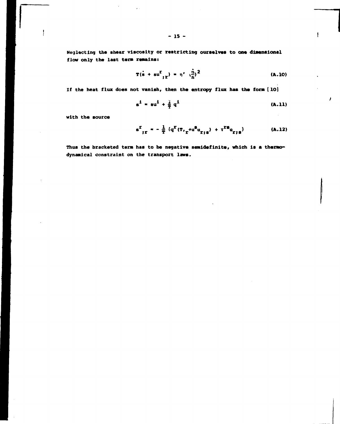Neglecting the shear viscosity or restricting ourselves to one dimensional flow only the last term remains:

$$
T(s + su^{2}_{p}) = \eta' \left(\frac{\dot{\eta}}{n}\right)^{2}
$$
 (A.10)

ŧ

If the heat flux does not vanish, then the entropy flux has the form [10]

$$
s^{\frac{1}{2}} = su^{\frac{1}{2}} + \frac{1}{2} q^{\frac{1}{2}}
$$
 (A.11)

with the source

 $\mathbf{I}$ 

$$
s^{T}_{jT} = -\frac{1}{T} \{q^{T}(T_{j} + u^{2}u_{TjS}) + \tau^{TS}u_{TjS}\}
$$
 (A.12)

Thus the bracketed term has to be negative semidefinite, which is a thermodynamical constraint on the transport laws.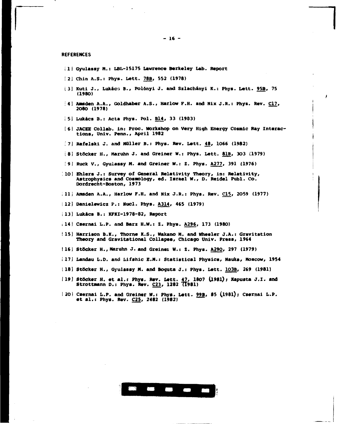**REFERENCES** 

- **ill Gyulassy M.: LBL-15175 Lawrence Berkeley Lab. Report**
- **12] Chin A.S.: Phys. Lett. 78B, 552 (1978)**
- **t3] Kuti J., Lukács В., Polönyi J. and Szlachányi К.: Phys. Lett. 95B, 75 (19BO)**
- **;4] Amden A.A., Goldhaber A.S., Harlow P.H. and Nix J.R.: Phys. Rev. C17, 2O80 (1978)**
- **i 5] Lukács В.: Acta Phys. Pol. B14, 33 (1983)**
- [6] JACEE Collab. in: Proc. Workshop on Very High Energy Cosmic Ray Interac**tions, Univ. Penn., April 1982**
- **.7) Rafelski J. and Müller В.: Phys. Rev. Lett. 48, 1066 (1982)**
- **;8i Stocker H., Naruhn J. and Greiner W.: Phys. Lett. 81B, 303 (1979)**
- **!9! Ruck V., Gyulassy N. and Greiner W.: 2. Phys. A277, 391 (1976)**
- **10] Ehlers J.: Survey of General Relativity Theory, in: Relativity, Astrophysics and Cossology, ed. Israel W., D. Reidel Publ. Co. Dordrecht-Boston, 1973**
- **H i i i h hsden** A.A., Harlow F.H. and Nix J.R.: Phys. Rev. C15, 2059 (1977)
- **112] Danielewicz P.: Nucl. Phys. A314, 465 (1979)**
- **[13] Lukács В.: KFKI-1978-82, Report**
- **.14 1 Csernai L.P. and Bars H.W.: Z. Phys. A296, 173 (1980)**
- **! 15] Harrison B.K., Thorne K.S., Wakano M. and Wheeler J.A.: Gravitation Theory and Gravitational Collapse, Chicago Univ. Press, 1964**
- **116] Stocker H.,Maruhn J. and Greinet W.: Z. Phys. A290, 297 (1979)**
- **I 17] Landau L.D. and Ufehle Е.И.: Statistical Physics, Nauka, Moscow, 1954**
- **118] Stöcker H., Gyulassy M. and Boguta J.: Phys. Lett. 10ЭВ, 269 (1981)**
- **Í19] Stöcker H. et al.t Phys. Rev. Lett. 47, 1807** *i}98l) i* **Xapusta J.I. and Strottnann D.: Phys. Rev. C23, 1282 7T981)**
- **i 20) Csernai L.P. and Greiner W.J Phys. Lett. 99B, 85 (l98l); Csernai L.P. et al.: Phys. Rev. C25, 2482 (1982)**